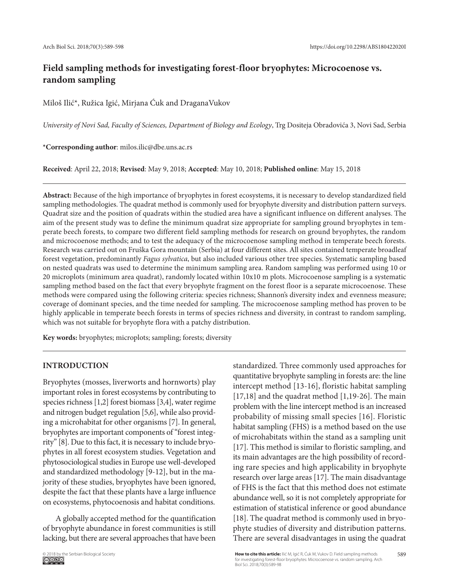# **Field sampling methods for investigating forest-floor bryophytes: Microcoenose vs. random sampling**

Miloš Ilić\*, Ružica Igić, Mirjana Ćuk and DraganaVukov

*University of Novi Sad, Faculty of Sciences, Department of Biology and Ecology*, Trg Dositeja Obradovića 3, Novi Sad, Serbia

**\*Corresponding author**: milos.ilic@dbe.uns.ac.rs

**Received**: April 22, 2018; **Revised**: May 9, 2018; **Accepted**: May 10, 2018; **Published online**: May 15, 2018

**Abstract:** Because of the high importance of bryophytes in forest ecosystems, it is necessary to develop standardized field sampling methodologies. The quadrat method is commonly used for bryophyte diversity and distribution pattern surveys. Quadrat size and the position of quadrats within the studied area have a significant influence on different analyses. The aim of the present study was to define the minimum quadrat size appropriate for sampling ground bryophytes in temperate beech forests, to compare two different field sampling methods for research on ground bryophytes, the random and microcoenose methods; and to test the adequacy of the microcoenose sampling method in temperate beech forests. Research was carried out on Fruška Gora mountain (Serbia) at four different sites. All sites contained temperate broadleaf forest vegetation, predominantly *Fagus sylvatica*, but also included various other tree species. Systematic sampling based on nested quadrats was used to determine the minimum sampling area. Random sampling was performed using 10 or 20 microplots (minimum area quadrat), randomly located within 10x10 m plots. Microcoenose sampling is a systematic sampling method based on the fact that every bryophyte fragment on the forest floor is a separate microcoenose. These methods were compared using the following criteria: species richness; Shannon's diversity index and evenness measure; coverage of dominant species, and the time needed for sampling. The microcoenose sampling method has proven to be highly applicable in temperate beech forests in terms of species richness and diversity, in contrast to random sampling, which was not suitable for bryophyte flora with a patchy distribution.

**Key words:** bryophytes; microplots; sampling; forests; diversity

## **INTRODUCTION**

Bryophytes (mosses, liverworts and hornworts) play important roles in forest ecosystems by contributing to species richness [1,2] forest biomass [3,4], water regime and nitrogen budget regulation [5,6], while also providing a microhabitat for other organisms [7]. In general, bryophytes are important components of "forest integrity" [8]. Due to this fact, it is necessary to include bryophytes in all forest ecosystem studies. Vegetation and phytosociological studies in Europe use well-developed and standardized methodology [9-12], but in the majority of these studies, bryophytes have been ignored, despite the fact that these plants have a large influence on ecosystems, phytocoenosis and habitat conditions.

A globally accepted method for the quantification of bryophyte abundance in forest communities is still lacking, but there are several approaches that have been

standardized. Three commonly used approaches for quantitative bryophyte sampling in forests are: the line intercept method [13-16], floristic habitat sampling [17,18] and the quadrat method [1,19-26]. The main problem with the line intercept method is an increased probability of missing small species [16]. Floristic habitat sampling (FHS) is a method based on the use of microhabitats within the stand as a sampling unit [17]. This method is similar to floristic sampling, and its main advantages are the high possibility of recording rare species and high applicability in bryophyte research over large areas [17]. The main disadvantage of FHS is the fact that this method does not estimate abundance well, so it is not completely appropriate for estimation of statistical inference or good abundance [18]. The quadrat method is commonly used in bryophyte studies of diversity and distribution patterns. There are several disadvantages in using the quadrat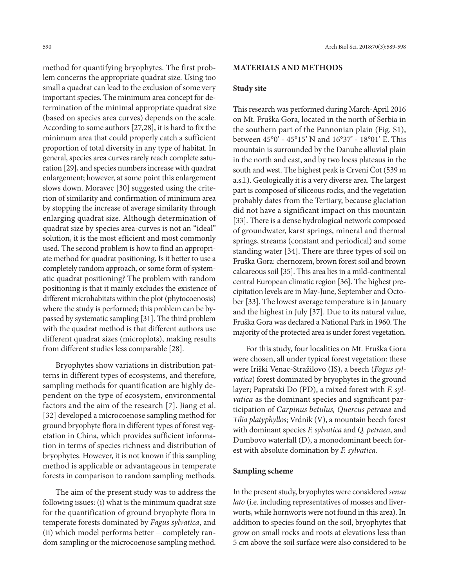method for quantifying bryophytes. The first problem concerns the appropriate quadrat size. Using too small a quadrat can lead to the exclusion of some very important species. The minimum area concept for determination of the minimal appropriate quadrat size (based on species area curves) depends on the scale. According to some authors [27,28], it is hard to fix the minimum area that could properly catch a sufficient proportion of total diversity in any type of habitat. In general, species area curves rarely reach complete saturation [29], and species numbers increase with quadrat enlargement; however, at some point this enlargement slows down. Moravec [30] suggested using the criterion of similarity and confirmation of minimum area by stopping the increase of average similarity through enlarging quadrat size. Although determination of quadrat size by species area-curves is not an "ideal" solution, it is the most efficient and most commonly used. The second problem is how to find an appropriate method for quadrat positioning. Is it better to use a completely random approach, or some form of systematic quadrat positioning? The problem with random positioning is that it mainly excludes the existence of different microhabitats within the plot (phytocoenosis) where the study is performed; this problem can be bypassed by systematic sampling [31]. The third problem with the quadrat method is that different authors use different quadrat sizes (microplots), making results from different studies less comparable [28].

Bryophytes show variations in distribution patterns in different types of ecosystems, and therefore, sampling methods for quantification are highly dependent on the type of ecosystem, environmental factors and the aim of the research [7]. Jiang et al. [32] developed a microcoenose sampling method for ground bryophyte flora in different types of forest vegetation in China, which provides sufficient information in terms of species richness and distribution of bryophytes. However, it is not known if this sampling method is applicable or advantageous in temperate forests in comparison to random sampling methods.

The aim of the present study was to address the following issues: (i) what is the minimum quadrat size for the quantification of ground bryophyte flora in temperate forests dominated by *Fagus sylvatica*, and (ii) which model performs better − completely random sampling or the microcoenose sampling method.

## **MATERIALS AND METHODS**

# **Study site**

This research was performed during March-April 2016 on Mt. Fruška Gora, located in the north of Serbia in the southern part of the Pannonian plain (Fig. S1), between 45°0' - 45°15' N and 16°37' - 18°01' E. This mountain is surrounded by the Danube alluvial plain in the north and east, and by two loess plateaus in the south and west. The highest peak is Crveni Čot (539 m a.s.l.). Geologically it is a very diverse area. The largest part is composed of siliceous rocks, and the vegetation probably dates from the Tertiary, because glaciation did not have a significant impact on this mountain [33]. There is a dense hydrological network composed of groundwater, karst springs, mineral and thermal springs, streams (constant and periodical) and some standing water [34]. There are three types of soil on Fruška Gora: chernozem, brown forest soil and brown calcareous soil [35]. This area lies in a mild-continental central European climatic region [36]. The highest precipitation levels are in May-June, September and October [33]. The lowest average temperature is in January and the highest in July [37]. Due to its natural value, Fruška Gora was declared a National Park in 1960. The majority of the protected area is under forest vegetation.

For this study, four localities on Mt. Fruška Gora were chosen, all under typical forest vegetation: these were Iriški Venac-Stražilovo (IS), a beech (*Fagus sylvatica*) forest dominated by bryophytes in the ground layer; Papratski Do (PD), a mixed forest with *F. sylvatica* as the dominant species and significant participation of *Carpinus betulus, Quercus petraea* and *Tilia platyphyllos*; Vrdnik (V), a mountain beech forest with dominant species *F. sylvatica* and *Q. petraea*, and Dumbovo waterfall (D), a monodominant beech forest with absolute domination by *F. sylvatica.*

# **Sampling scheme**

In the present study, bryophytes were considered *sensu lato* (i.e. including representatives of mosses and liverworts, while hornworts were not found in this area). In addition to species found on the soil, bryophytes that grow on small rocks and roots at elevations less than 5 cm above the soil surface were also considered to be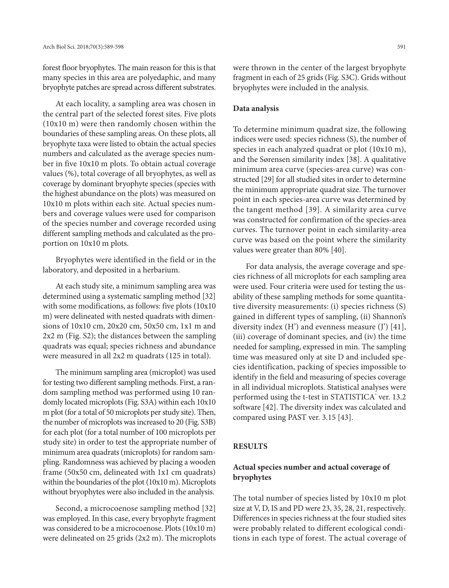forest floor bryophytes. The main reason for this is that many species in this area are polyedaphic, and many bryophyte patches are spread across different substrates.

At each locality, a sampling area was chosen in the central part of the selected forest sites. Five plots (10x10 m) were then randomly chosen within the boundaries of these sampling areas. On these plots, all bryophyte taxa were listed to obtain the actual species numbers and calculated as the average species number in five 10x10 m plots. To obtain actual coverage values (%), total coverage of all bryophytes, as well as coverage by dominant bryophyte species (species with the highest abundance on the plots) was measured on 10x10 m plots within each site. Actual species numbers and coverage values were used for comparison of the species number and coverage recorded using different sampling methods and calculated as the proportion on 10x10 m plots.

Bryophytes were identified in the field or in the laboratory, and deposited in a herbarium.

At each study site, a minimum sampling area was determined using a systematic sampling method [32] with some modifications, as follows: five plots (10x10 m) were delineated with nested quadrats with dimensions of 10x10 cm, 20x20 cm, 50x50 cm, 1x1 m and 2x2 m (Fig. S2); the distances between the sampling quadrats was equal; species richness and abundance were measured in all 2x2 m quadrats (125 in total).

The minimum sampling area (microplot) was used for testing two different sampling methods. First, a random sampling method was performed using 10 randomly located microplots (Fig. S3A) within each 10x10 m plot (for a total of 50 microplots per study site). Then, the number of microplots was increased to 20 (Fig. S3B) for each plot (for a total number of 100 microplots per study site) in order to test the appropriate number of minimum area quadrats (microplots) for random sampling. Randomness was achieved by placing a wooden frame (50x50 cm, delineated with 1x1 cm quadrats) within the boundaries of the plot (10x10 m). Microplots without bryophytes were also included in the analysis.

Second, a microcoenose sampling method [32] was employed. In this case, every bryophyte fragment was considered to be a microcoenose. Plots (10x10 m) were delineated on 25 grids (2x2 m). The microplots were thrown in the center of the largest bryophyte fragment in each of 25 grids (Fig. S3C). Grids without bryophytes were included in the analysis.

#### **Data analysis**

To determine minimum quadrat size, the following indices were used: species richness (S), the number of species in each analyzed quadrat or plot (10x10 m), and the Sørensen similarity index [38]. A qualitative minimum area curve (species-area curve) was constructed [29] for all studied sites in order to determine the minimum appropriate quadrat size. The turnover point in each species-area curve was determined by the tangent method [39]. A similarity area curve was constructed for confirmation of the species-area curves. The turnover point in each similarity-area curve was based on the point where the similarity values were greater than 80% [40].

For data analysis, the average coverage and species richness of all microplots for each sampling area were used. Four criteria were used for testing the usability of these sampling methods for some quantitative diversity measurements: (i) species richness (S) gained in different types of sampling, (ii) Shannon's diversity index (H') and evenness measure (J') [41], (iii) coverage of dominant species, and (iv) the time needed for sampling, expressed in min. The sampling time was measured only at site D and included species identification, packing of species impossible to identify in the field and measuring of species coverage in all individual microplots. Statistical analyses were performed using the t-test in STATISTICA<sup>®</sup> ver. 13.2 software [42]. The diversity index was calculated and compared using PAST ver. 3.15 [43].

# **RESULTS**

# **Actual species number and actual coverage of bryophytes**

The total number of species listed by 10x10 m plot size at V, D, IS and PD were 23, 35, 28, 21, respectively. Differences in species richness at the four studied sites were probably related to different ecological conditions in each type of forest. The actual coverage of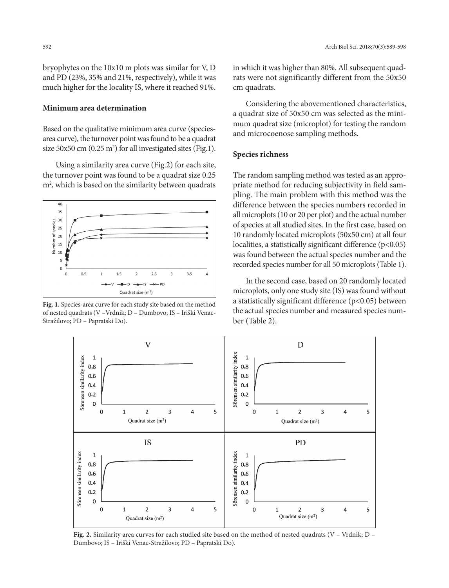bryophytes on the 10x10 m plots was similar for V, D and PD (23%, 35% and 21%, respectively), while it was much higher for the locality IS, where it reached 91%.

## **Minimum area determination**

Based on the qualitative minimum area curve (speciesarea curve), the turnover point was found to be a quadrat size 50x50 cm (0.25  $\mathrm{m}^2$ ) for all investigated sites (Fig.1).

Using a similarity area curve (Fig.2) for each site, the turnover point was found to be a quadrat size 0.25 m2 , which is based on the similarity between quadrats



**Fig. 1.** Species-area curve for each study site based on the method of nested quadrats (V –Vrdnik; D – Dumbovo; IS – Iriški Venac-Stražilovo; PD – Papratski Do).

in which it was higher than 80%. All subsequent quadrats were not significantly different from the 50x50 cm quadrats.

Considering the abovementioned characteristics, a quadrat size of 50x50 cm was selected as the minimum quadrat size (microplot) for testing the random and microcoenose sampling methods.

#### **Species richness**

The random sampling method was tested as an appropriate method for reducing subjectivity in field sampling. The main problem with this method was the difference between the species numbers recorded in all microplots (10 or 20 per plot) and the actual number of species at all studied sites. In the first case, based on 10 randomly located microplots (50x50 cm) at all four localities, a statistically significant difference (p<0.05) was found between the actual species number and the recorded species number for all 50 microplots (Table 1).

In the second case, based on 20 randomly located microplots, only one study site (IS) was found without a statistically significant difference (p<0.05) between the actual species number and measured species number (Table 2).



**Fig. 2.** Similarity area curves for each studied site based on the method of nested quadrats (V – Vrdnik; D – Dumbovo; IS – Iriški Venac-Stražilovo; PD – Papratski Do).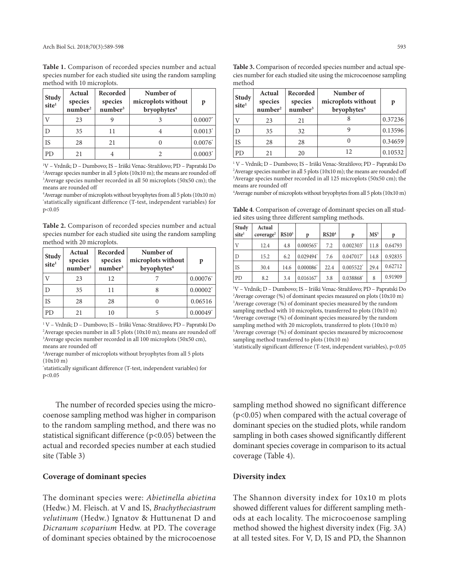**Table 1.** Comparison of recorded species number and actual species number for each studied site using the random sampling method with 10 microplots.

| <b>Study</b><br>site <sup>1</sup> | Actual<br>species<br>$n$ umber <sup>2</sup> | Recorded<br>species<br>number <sup>3</sup> | Number of<br>microplots without<br>bryophytes <sup>4</sup> | p                     |
|-----------------------------------|---------------------------------------------|--------------------------------------------|------------------------------------------------------------|-----------------------|
|                                   | 23                                          |                                            |                                                            | $0.0007$ *            |
| D                                 | 35                                          | 11                                         |                                                            | $0.0013$ <sup>*</sup> |
| <b>IS</b>                         | 28                                          | 21                                         |                                                            | 0.0076                |
| P <sub>D</sub>                    | 21                                          |                                            |                                                            | $0.0003*$             |

1 V – Vrdnik; D – Dumbovo; IS – Iriški Venac-Stražilovo; PD – Papratski Do  $^2$ Average species number in all 5 plots (10x10 m); the means are rounded off 3 Average species number recorded in all 50 microplots (50x50 cm); the means are rounded off

4 Average number of microplots without bryophytes from all 5 plots (10x10 m) \* statistically significant difference (T-test, independent variables) for p<0.05

**Table 2.** Comparison of recorded species number and actual species number for each studied site using the random sampling method with 20 microplots.

| Study<br>site <sup>1</sup> | Actual<br>species<br>number <sup>2</sup> | Recorded<br>species<br>number <sup>3</sup> | Number of<br>microplots without<br>bryophytes <sup>4</sup> | p                      |
|----------------------------|------------------------------------------|--------------------------------------------|------------------------------------------------------------|------------------------|
|                            | 23                                       | 12                                         |                                                            | $0.00076^*$            |
| D                          | 35                                       | 11                                         |                                                            | $0.00002^*$            |
| <b>IS</b>                  | 28                                       | 28                                         |                                                            | 0.06516                |
| <b>PD</b>                  | 21                                       | 10                                         | 5                                                          | $0.00049$ <sup>*</sup> |

 V – Vrdnik; D – Dumbovo; IS – Iriški Venac-Stražilovo; PD – Papratski Do Average species number in all 5 plots (10x10 m); means are rounded off Average species number recorded in all 100 microplots (50x50 cm), means are rounded off

4 Average number of microplots without bryophytes from all 5 plots (10x10 m)

\* statistically significant difference (T-test, independent variables) for p<0.05

The number of recorded species using the microcoenose sampling method was higher in comparison to the random sampling method, and there was no statistical significant difference (p<0.05) between the actual and recorded species number at each studied site (Table 3)

#### **Coverage of dominant species**

The dominant species were: *Abietinella abietina* (Hedw.) M. Fleisch. at V and IS, *Brachytheciastrum velutinum* (Hedw.) Ignatov & Huttunenat D and *Dicranum scoparium* Hedw. at PD. The coverage of dominant species obtained by the microcoenose

cies number for each studied site using the microcoenose sampling method **Study site1 Actual Recorded species species Number of microplots without p**

**Table 3.** Comparison of recorded species number and actual spe-

| Study<br>site <sup>1</sup> | species<br>number <sup>2</sup> | species<br>number <sup>3</sup> | microplots without<br>bryophytes <sup>4</sup> | p       |
|----------------------------|--------------------------------|--------------------------------|-----------------------------------------------|---------|
|                            | 23                             | 21                             |                                               | 0.37236 |
| D                          | 35                             | 32                             |                                               | 0.13596 |
| IS                         | 28                             | 28                             |                                               | 0.34659 |
| PD                         | 21                             | 20                             | 12                                            | 0.10532 |

 V – Vrdnik; D – Dumbovo; IS – Iriški Venac-Stražilovo; PD – Papratski Do Average species number in all 5 plots (10x10 m); the means are rounded off Average species number recorded in all 125 microplots (50x50 cm); the means are rounded off

4 Average number of microplots without bryophytes from all 5 plots (10x10 m)

**Table 4**. Comparison of coverage of dominant species on all studied sites using three different sampling methods.

| Study        | Actual                |                   |                         |              |                         |                 |         |
|--------------|-----------------------|-------------------|-------------------------|--------------|-------------------------|-----------------|---------|
| sitel        | coverage <sup>2</sup> | RS10 <sup>3</sup> | p                       | <b>RS204</b> | p                       | MS <sup>5</sup> | p       |
| $\mathbf{V}$ | 12.4                  | 4.8               | $0.000565$ <sup>*</sup> | 7.2          | $0.002303$ <sup>*</sup> | 11.8            | 0.64793 |
| $\mathsf{D}$ | 15.2                  | 6.2               | 0.029494*               | 7.6          | 0.047017*               | 14.8            | 0.92835 |
| l IS         | 30.4                  | 14.6              | 0.000086                | 22.4         | $0.005522$ <sup>*</sup> | 29.4            | 0.62712 |
| PD           | 8.2                   | 3.4               | 0.016167                | 3.8          | 0.038868                | 8               | 0.91909 |

 V – Vrdnik; D – Dumbovo; IS – Iriški Venac-Stražilovo; PD – Papratski Do Average coverage (%) of dominant species measured on plots (10x10 m) Average coverage (%) of dominant species measured by the random sampling method with 10 microplots, transferred to plots (10x10 m) Average coverage (%) of dominant species measured by the random sampling method with 20 microplots, transferred to plots (10x10 m) Average coverage (%) of dominant species measured by microcoenose sampling method transferred to plots (10x10 m)

\* statistically significant difference (T-test, independent variables), p<0.05

sampling method showed no significant difference (p<0.05) when compared with the actual coverage of dominant species on the studied plots, while random sampling in both cases showed significantly different dominant species coverage in comparison to its actual coverage (Table 4).

#### **Diversity index**

The Shannon diversity index for 10x10 m plots showed different values for different sampling methods at each locality. The microcoenose sampling method showed the highest diversity index (Fig. 3A) at all tested sites. For V, D, IS and PD, the Shannon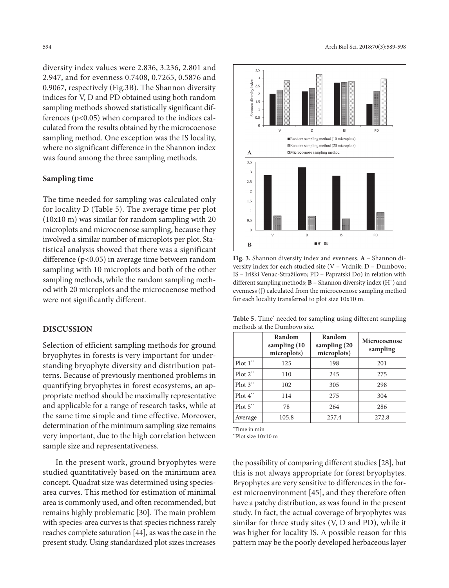diversity index values were 2.836, 3.236, 2.801 and 2.947, and for evenness 0.7408, 0.7265, 0.5876 and 0.9067, respectively (Fig.3B). The Shannon diversity indices for V, D and PD obtained using both random sampling methods showed statistically significant differences (p<0.05) when compared to the indices calculated from the results obtained by the microcoenose sampling method. One exception was the IS locality, where no significant difference in the Shannon index was found among the three sampling methods.

# **Sampling time**

The time needed for sampling was calculated only for locality D (Table 5). The average time per plot (10x10 m) was similar for random sampling with 20 microplots and microcoenose sampling, because they involved a similar number of microplots per plot. Statistical analysis showed that there was a significant difference (p<0.05) in average time between random sampling with 10 microplots and both of the other sampling methods, while the random sampling method with 20 microplots and the microcoenose method were not significantly different.

#### **DISCUSSION**

Selection of efficient sampling methods for ground bryophytes in forests is very important for understanding bryophyte diversity and distribution patterns. Because of previously mentioned problems in quantifying bryophytes in forest ecosystems, an appropriate method should be maximally representative and applicable for a range of research tasks, while at the same time simple and time effective. Moreover, determination of the minimum sampling size remains very important, due to the high correlation between sample size and representativeness.

In the present work, ground bryophytes were studied quantitatively based on the minimum area concept. Quadrat size was determined using speciesarea curves. This method for estimation of minimal area is commonly used, and often recommended, but remains highly problematic [30]. The main problem with species-area curves is that species richness rarely reaches complete saturation [44], as was the case in the present study. Using standardized plot sizes increases



**Fig. 3.** Shannon diversity index and evenness. **A** – Shannon diversity index for each studied site (V – Vrdnik; D – Dumbovo; IS – Iriški Venac-Stražilovo; PD – Papratski Do) in relation with different sampling methods; **B** – Shannon diversity index (H`) and evenness (J) calculated from the microcoenose sampling method for each locality transferred to plot size 10x10 m.

**Table 5.** Time\* needed for sampling using different sampling methods at the Dumbovo site.

|                         | Random<br>sampling (10)<br>microplots) | Random<br>sampling (20<br>microplots) | Microcoenose<br>sampling |
|-------------------------|----------------------------------------|---------------------------------------|--------------------------|
| Plot $1^{\prime\prime}$ | 125                                    | 198                                   | 201                      |
| $Plot 2^{**}$           | 110                                    | 2.45                                  | 275                      |
| Plot $3^*$              | 102                                    | 305                                   | 298                      |
| Plot $4^{\ast\ast}$     | 114                                    | 275                                   | 304                      |
| Plot $5^{\ast\ast}$     | 78                                     | 264                                   | 286                      |
| Average                 | 105.8                                  | 257.4                                 | 272.8                    |

\* Time in min

\*\*Plot size 10x10 m

the possibility of comparing different studies [28], but this is not always appropriate for forest bryophytes. Bryophytes are very sensitive to differences in the forest microenvironment [45], and they therefore often have a patchy distribution, as was found in the present study. In fact, the actual coverage of bryophytes was similar for three study sites (V, D and PD), while it was higher for locality IS. A possible reason for this pattern may be the poorly developed herbaceous layer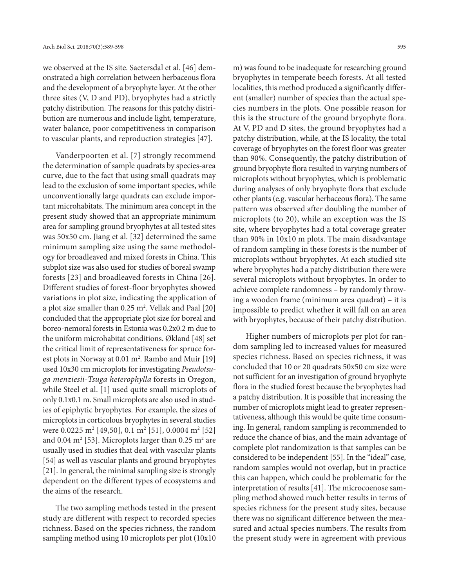we observed at the IS site. Saetersdal et al. [46] demonstrated a high correlation between herbaceous flora and the development of a bryophyte layer. At the other three sites (V, D and PD), bryophytes had a strictly patchy distribution. The reasons for this patchy distribution are numerous and include light, temperature, water balance, poor competitiveness in comparison to vascular plants, and reproduction strategies [47].

Vanderpoorten et al. [7] strongly recommend the determination of sample quadrats by species-area curve, due to the fact that using small quadrats may lead to the exclusion of some important species, while unconventionally large quadrats can exclude important microhabitats. The minimum area concept in the present study showed that an appropriate minimum area for sampling ground bryophytes at all tested sites was 50x50 cm. Jiang et al. [32] determined the same minimum sampling size using the same methodology for broadleaved and mixed forests in China. This subplot size was also used for studies of boreal swamp forests [23] and broadleaved forests in China [26]. Different studies of forest-floor bryophytes showed variations in plot size, indicating the application of a plot size smaller than 0.25 m2 . Vellak and Paal [20] concluded that the appropriate plot size for boreal and boreo-nemoral forests in Estonia was 0.2x0.2 m due to the uniform microhabitat conditions. Økland [48] set the critical limit of representativeness for spruce forest plots in Norway at 0.01 m<sup>2</sup>. Rambo and Muir [19] used 10x30 cm microplots for investigating *Pseudotsuga menziesii-Tsuga heterophylla* forests in Oregon, while Steel et al. [1] used quite small microplots of only 0.1x0.1 m. Small microplots are also used in studies of epiphytic bryophytes. For example, the sizes of microplots in corticolous bryophytes in several studies were 0.0225 m<sup>2</sup> [49,50], 0.1 m<sup>2</sup> [51], 0.0004 m<sup>2</sup> [52] and 0.04  $\mathrm{m}^2$  [53]. Microplots larger than 0.25  $\mathrm{m}^2$  are usually used in studies that deal with vascular plants [54] as well as vascular plants and ground bryophytes [21]. In general, the minimal sampling size is strongly dependent on the different types of ecosystems and the aims of the research.

The two sampling methods tested in the present study are different with respect to recorded species richness. Based on the species richness, the random sampling method using 10 microplots per plot (10x10

m) was found to be inadequate for researching ground bryophytes in temperate beech forests. At all tested localities, this method produced a significantly different (smaller) number of species than the actual species numbers in the plots. One possible reason for this is the structure of the ground bryophyte flora. At V, PD and D sites, the ground bryophytes had a patchy distribution, while, at the IS locality, the total coverage of bryophytes on the forest floor was greater than 90%. Consequently, the patchy distribution of ground bryophyte flora resulted in varying numbers of microplots without bryophytes, which is problematic during analyses of only bryophyte flora that exclude other plants (e.g. vascular herbaceous flora). The same pattern was observed after doubling the number of microplots (to 20), while an exception was the IS site, where bryophytes had a total coverage greater than 90% in 10x10 m plots. The main disadvantage of random sampling in these forests is the number of microplots without bryophytes. At each studied site where bryophytes had a patchy distribution there were several microplots without bryophytes. In order to achieve complete randomness – by randomly throwing a wooden frame (minimum area quadrat) – it is impossible to predict whether it will fall on an area with bryophytes, because of their patchy distribution.

Higher numbers of microplots per plot for random sampling led to increased values for measured species richness. Based on species richness, it was concluded that 10 or 20 quadrats 50x50 cm size were not sufficient for an investigation of ground bryophyte flora in the studied forest because the bryophytes had a patchy distribution. It is possible that increasing the number of microplots might lead to greater representativeness, although this would be quite time consuming. In general, random sampling is recommended to reduce the chance of bias, and the main advantage of complete plot randomization is that samples can be considered to be independent [55]. In the "ideal" case, random samples would not overlap, but in practice this can happen, which could be problematic for the interpretation of results [41]. The microcoenose sampling method showed much better results in terms of species richness for the present study sites, because there was no significant difference between the measured and actual species numbers. The results from the present study were in agreement with previous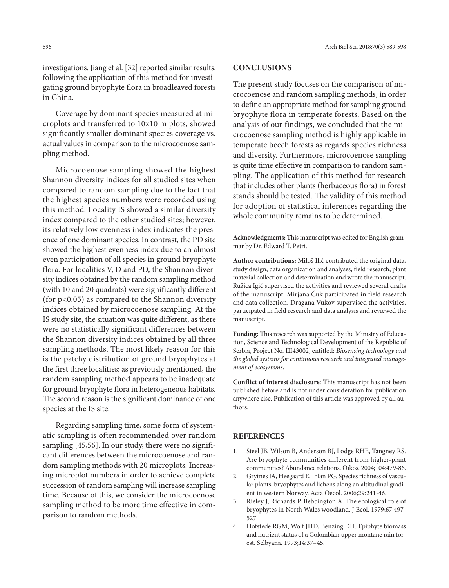investigations. Jiang et al. [32] reported similar results, following the application of this method for investigating ground bryophyte flora in broadleaved forests in China.

Coverage by dominant species measured at microplots and transferred to 10x10 m plots, showed significantly smaller dominant species coverage vs. actual values in comparison to the microcoenose sampling method.

Microcoenose sampling showed the highest Shannon diversity indices for all studied sites when compared to random sampling due to the fact that the highest species numbers were recorded using this method. Locality IS showed a similar diversity index compared to the other studied sites; however, its relatively low evenness index indicates the presence of one dominant species. In contrast, the PD site showed the highest evenness index due to an almost even participation of all species in ground bryophyte flora. For localities V, D and PD, the Shannon diversity indices obtained by the random sampling method (with 10 and 20 quadrats) were significantly different (for p<0.05) as compared to the Shannon diversity indices obtained by microcoenose sampling. At the IS study site, the situation was quite different, as there were no statistically significant differences between the Shannon diversity indices obtained by all three sampling methods. The most likely reason for this is the patchy distribution of ground bryophytes at the first three localities: as previously mentioned, the random sampling method appears to be inadequate for ground bryophyte flora in heterogeneous habitats. The second reason is the significant dominance of one species at the IS site.

Regarding sampling time, some form of systematic sampling is often recommended over random sampling [45,56]. In our study, there were no significant differences between the microcoenose and random sampling methods with 20 microplots. Increasing microplot numbers in order to achieve complete succession of random sampling will increase sampling time. Because of this, we consider the microcoenose sampling method to be more time effective in comparison to random methods.

## **CONCLUSIONS**

The present study focuses on the comparison of microcoenose and random sampling methods, in order to define an appropriate method for sampling ground bryophyte flora in temperate forests. Based on the analysis of our findings, we concluded that the microcoenose sampling method is highly applicable in temperate beech forests as regards species richness and diversity. Furthermore, microcoenose sampling is quite time effective in comparison to random sampling. The application of this method for research that includes other plants (herbaceous flora) in forest stands should be tested. The validity of this method for adoption of statistical inferences regarding the whole community remains to be determined.

**Acknowledgments:** This manuscript was edited for English grammar by Dr. Edward T. Petri.

**Author contributions:** Miloš Ilić contributed the original data, study design, data organization and analyses, field research, plant material collection and determination and wrote the manuscript. Ružica Igić supervised the activities and reviewed several drafts of the manuscript. Mirjana Ćuk participated in field research and data collection. Dragana Vukov supervised the activities, participated in field research and data analysis and reviewed the manuscript.

**Funding:** This research was supported by the Ministry of Education, Science and Technological Development of the Republic of Serbia, Project No. III43002, entitled: *Biosensing technology and the global systems for continuous research and integrated management of ecosystems*.

**Conflict of interest disclosure**: This manuscript has not been published before and is not under consideration for publication anywhere else. Publication of this article was approved by all authors.

#### **REFERENCES**

- 1. Steel JB, Wilson B, Anderson BJ, Lodge RHE, Tangney RS. Are bryophyte communities different from higher-plant communities? Abundance relations. Oikos. 2004;104:479-86.
- 2. Grytnes JA, Heegaard E, Ihlan PG. Species richness of vascular plants, bryophytes and lichens along an altitudinal gradient in western Norway. Acta Oecol. 2006;29:241-46.
- 3. Rieley J, Richards P, Bebbington A. The ecological role of bryophytes in North Wales woodland. J Ecol. 1979;67:497- 527.
- 4. Hofstede RGM, Wolf JHD, Benzing DH. Epiphyte biomass and nutrient status of a Colombian upper montane rain forest. Selbyana. 1993;14:37–45.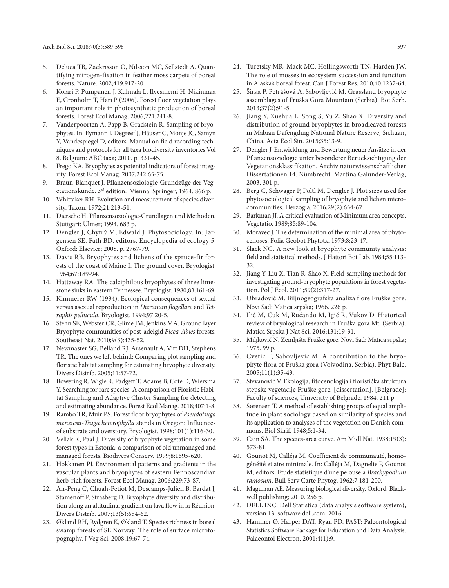- 5. Deluca TB, Zackrisson O, Nilsson MC, Sellstedt A. Quantifying nitrogen-fixation in feather moss carpets of boreal forests. Nature. 2002;419:917-20.
- 6. Kolari P, Pumpanen J, Kulmala L, Ilvesniemi H, Nikinmaa E, Grönholm T, Hari P (2006). Forest floor vegetation plays an important role in photosynthetic production of boreal forests. Forest Ecol Manag. 2006;221:241-8.
- 7. Vanderpoorten A, Papp B, Gradstein R. Sampling of bryophytes. In: Eymann J, Degreef J, Häuser C, Monje JC, Samyn Y, Vandespiegel D, editors. Manual on field recording techniques and protocols for all taxa biodiversity inventories Vol 8. Belgium: ABC taxa; 2010. p. 331-45.
- Frego KA. Bryophytes as potential indicators of forest integrity. Forest Ecol Manag. 2007;242:65-75.
- 9. Braun-Blanquet J. Pflanzensoziologie-Grundzüge der Vegetationskunde. 3rd edition. Vienna: Springer; 1964. 866 p.
- 10. Whittaker RH. Evolution and measurement of species diversity. Taxon. 1972;21:213-51.
- 11. Diersche H. Pflanzensoziologie-Grundlagen und Methoden. Stuttgart: Ulmer; 1994. 683 p.
- 12. Dengler J, Chytrý M, Edwald J. Phytosociology. In: Jørgensen SE, Fath BD, editors. Encyclopedia of ecology 5. Oxford: Elsevier; 2008. p. 2767-79.
- 13. Davis RB. Bryophytes and lichens of the spruce-fir forests of the coast of Maine I. The ground cover. Bryologist. 1964;67:189-94.
- 14. Hattaway RA. The calciphilous bryophytes of three limestone sinks in eastern Tennessee. Bryologist. 1980;83:161-69.
- 15. Kimmerer RW (1994). Ecological consequences of sexual versus asexual reproduction in *Dicranum flagellare* and *Tetraphis pellucida*. Bryologist. 1994;97:20-5.
- 16. Stehn SE, Webster CR, Glime JM, Jenkins MA. Ground layer Bryophyte communities of post-adelgid *Picea-Abies* forests. Southeast Nat. 2010;9(3):435-52.
- 17. Newmaster SG, Belland RJ, Arsenault A, Vitt DH, Stephens TR. The ones we left behind: Comparing plot sampling and floristic habitat sampling for estimating bryophyte diversity. Divers Distrib. 2005;11:57-72.
- 18. Bowering R, Wigle R, Padgett T, Adams B, Cote D, Wiersma Y. Searching for rare species: A comparison of Floristic Habitat Sampling and Adaptive Cluster Sampling for detecting and estimating abundance. Forest Ecol Manag. 2018;407:1-8.
- 19. Rambo TR, Muir PS. Forest floor bryophytes of *Pseudotsuga menziesii-Tsuga heterophylla* stands in Oregon: Influences of substrate and overstory. Bryologist. 1998;101(1):116-30.
- 20. Vellak K, Paal J. Diversity of bryophyte vegetation in some forest types in Estonia: a comparison of old unmanaged and managed forests. Biodivers Conserv. 1999;8:1595-620.
- 21. Hokkanen PJ. Environmental patterns and gradients in the vascular plants and bryophytes of eastern Fennoscandian herb-rich forests. Forest Ecol Manag. 2006;229:73-87.
- 22. Ah-Peng C, Chuah-Petiot M, Descamps-Julien B, Bardat J, Stamenoff P, Strasberg D. Bryophyte diversity and distribution along an altitudinal gradient on lava flow in la Réunion. Divers Distrib. 2007;13(5):654-62.
- 23. Økland RH, Rydgren K, Økland T. Species richness in boreal swamp forests of SE Norway: The role of surface microtopography. J Veg Sci. 2008;19:67-74.
- 24. Turetsky MR, Mack MC, Hollingsworth TN, Harden JW. The role of mosses in ecosystem succession and function in Alaska's boreal forest. Can J Forest Res. 2010;40:1237-64.
- 25. Širka P, Petrášová A, Sabovljević M. Grassland bryophyte assemblages of Fruška Gora Mountain (Serbia). Bot Serb. 2013;37(2):91-5.
- 26. Jiang Y, Xuehua L, Song S, Yu Z, Shao X. Diversity and distribution of ground bryophytes in broadleaved forests in Mabian Dafengding National Nature Reserve, Sichuan, China. Acta Ecol Sin. 2015;35:13-9.
- 27. Dengler J. Entwicklung und Bewertung neuer Ansätze in der Pflanzensoziologie unter besonderer Berücksichtigung der Vegetationsklassifikation. Archiv naturwissenschaftlicher Dissertationen 14. Nümbrecht: Martina Galunder-Verlag; 2003. 301 p.
- 28. Berg C, Schwager P, Pöltl M, Dengler J. Plot sizes used for phytosociological sampling of bryophyte and lichen microcommunities. Herzogia. 2016;29(2):654-67.
- 29. Barkman JJ. A critical evaluation of Minimum area concepts. Vegetatio. 1989;85:89-104.
- 30. Moravec J. The determination of the minimal area of phytocenoses. Folia Geobot Phytotx. 1973;8:23-47.
- 31. Slack NG. A new look at bryophyte community analysis: field and statistical methods. J Hattori Bot Lab. 1984;55:113- 32.
- 32. Jiang Y, Liu X, Tian R, Shao X. Field-sampling methods for investigating ground-bryophyte populations in forest vegetation. Pol J Ecol. 2011;59(2):317-27.
- 33. Obradović M. Biljnogeografska analiza flore Fruške gore. Novi Sad: Matica srpska; 1966. 226 p.
- 34. Ilić M, Ćuk M, Rućando M, Igić R, Vukov D. Historical review of bryological research in Fruška gora Mt. (Serbia). Matica Srpska J Nat Sci. 2016;131:19-31.
- 35. Miljković N. Zemljišta Fruške gore. Novi Sad: Matica srpska; 1975. 99 p.
- 36. Cvetić T, Sabovljević M. A contribution to the bryophyte flora of Fruška gora (Vojvodina, Serbia). Phyt Balc. 2005;11(1):35-43.
- 37. Stevanović V. Ekologija, fitocenologija i floristička struktura stepske vegetacije Fruške gore. [dissertation]. [Belgrade]: Faculty of sciences, University of Belgrade. 1984. 211 p.
- 38. Sørensen T. A method of establishing groups of equal amplitude in plant sociology based on similarity of species and its application to analyses of the vegetation on Danish commons. Biol Skrif. 1948;5:1-34.
- 39. Cain SA. The species-area curve. Am Midl Nat. 1938;19(3): 573-81.
- 40. Gounot M, Calléja M. Coefficient de communauté, homogénéité et aire minimale. In: Calléja M, Dagnelie P, Gounot M, editors. Etude statistique d'une pelouse à *Brachypodium ramosum*. Bull Serv Carte Phytog. 1962;7:181-200.
- 41. Magurran AE. Measuring biological diversity. Oxford: Blackwell publishing; 2010. 256 p.
- 42. DELL INC. Dell Statistica (data analysis software system), version 13. software.dell.com. 2016.
- 43. Hammer Ø, Harper DAT, Ryan PD. PAST: Paleontological Statistics Software Package for Education and Data Analysis. Palaeontol Electron. 2001;4(1):9.